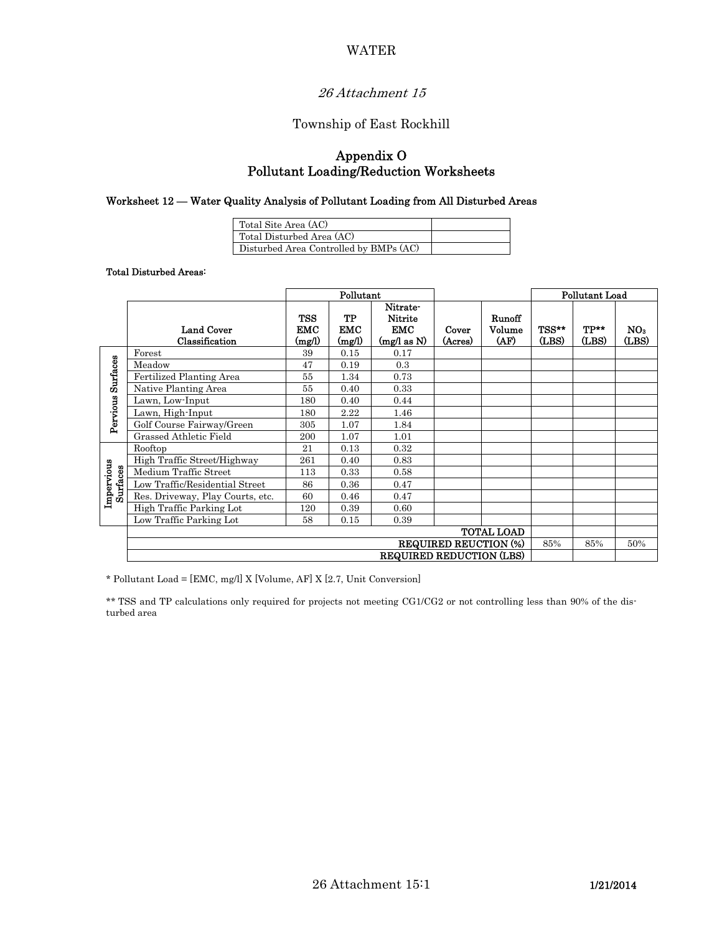### WATER

# 26 Attachment 15

### Township of East Rockhill

# Appendix O Pollutant Loading/Reduction Worksheets

#### Worksheet 12 — Water Quality Analysis of Pollutant Loading from All Disturbed Areas

| Total Site Area (AC)                   |  |
|----------------------------------------|--|
| Total Disturbed Area (AC)              |  |
| Disturbed Area Controlled by BMPs (AC) |  |

Total Disturbed Areas:

|                               |                                  | Pollutant                          |                            |                                                        |                  |                          | <b>Pollutant Load</b> |               |                          |
|-------------------------------|----------------------------------|------------------------------------|----------------------------|--------------------------------------------------------|------------------|--------------------------|-----------------------|---------------|--------------------------|
|                               | Land Cover<br>Classification     | <b>TSS</b><br><b>EMC</b><br>(mg/l) | TP<br><b>EMC</b><br>(mg/l) | Nitrate-<br><b>Nitrite</b><br><b>EMC</b><br>(mg/das N) | Cover<br>(Acres) | Runoff<br>Volume<br>(AF) | TSS**<br>(LBS)        | TP**<br>(LBS) | NO <sub>3</sub><br>(LBS) |
| <b>Surfaces</b><br>Pervious   | Forest                           | 39                                 | 0.15                       | 0.17                                                   |                  |                          |                       |               |                          |
|                               | Meadow                           | 47                                 | 0.19                       | 0.3                                                    |                  |                          |                       |               |                          |
|                               | <b>Fertilized Planting Area</b>  | 55                                 | 1.34                       | 0.73                                                   |                  |                          |                       |               |                          |
|                               | Native Planting Area             | 55                                 | 0.40                       | 0.33                                                   |                  |                          |                       |               |                          |
|                               | Lawn, Low-Input                  | 180                                | 0.40                       | 0.44                                                   |                  |                          |                       |               |                          |
|                               | Lawn, High-Input                 | 180                                | 2.22                       | 1.46                                                   |                  |                          |                       |               |                          |
|                               | Golf Course Fairway/Green        | 305                                | 1.07                       | 1.84                                                   |                  |                          |                       |               |                          |
|                               | Grassed Athletic Field           | 200                                | 1.07                       | 1.01                                                   |                  |                          |                       |               |                          |
| Impervious<br><b>Surfaces</b> | Rooftop                          | 21                                 | 0.13                       | 0.32                                                   |                  |                          |                       |               |                          |
|                               | High Traffic Street/Highway      | 261                                | 0.40                       | 0.83                                                   |                  |                          |                       |               |                          |
|                               | Medium Traffic Street            | 113                                | 0.33                       | 0.58                                                   |                  |                          |                       |               |                          |
|                               | Low Traffic/Residential Street   | 86                                 | 0.36                       | 0.47                                                   |                  |                          |                       |               |                          |
|                               | Res. Driveway, Play Courts, etc. | 60                                 | 0.46                       | 0.47                                                   |                  |                          |                       |               |                          |
|                               | High Traffic Parking Lot         | 120                                | 0.39                       | 0.60                                                   |                  |                          |                       |               |                          |
|                               | Low Traffic Parking Lot          | 58                                 | 0.15                       | 0.39                                                   |                  |                          |                       |               |                          |
|                               | <b>TOTAL LOAD</b>                |                                    |                            |                                                        |                  |                          |                       |               |                          |
|                               | <b>REQUIRED REUCTION (%)</b>     |                                    |                            |                                                        |                  |                          | 85%                   | 85%           | 50%                      |
|                               | <b>REQUIRED REDUCTION (LBS)</b>  |                                    |                            |                                                        |                  |                          |                       |               |                          |

\* Pollutant Load = [EMC, mg/l] X [Volume, AF] X [2.7, Unit Conversion]

\*\* TSS and TP calculations only required for projects not meeting CG1/CG2 or not controlling less than 90% of the disturbed area